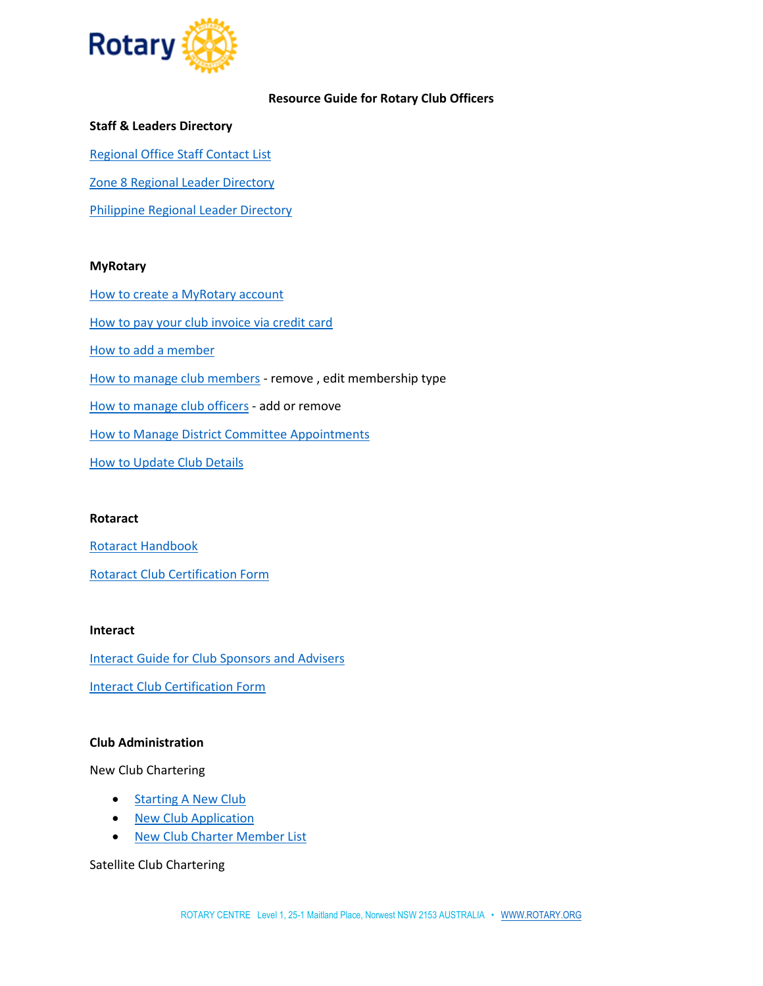

## **Resource Guide for Rotary Club Officers**

## **Staff & Leaders Directory**

[Regional Office Staff Contact List](https://www.dropbox.com/s/lrp8k62bh7l3k90/RI%20SPPO%20Contacts.pdf?dl=0)

[Zone 8 Regional Leader Directory](https://www.dropbox.com/s/5iehyho62og1jdg/Zone%208%20Regional%20Coordinators%20Directory.pdf?dl=0)

[Philippine Regional Leader Directory](https://www.dropbox.com/s/2wsm2qmdnjjqkie/Philippine%20Regional%20Coordinators%20Directory.pdf?dl=0)

## **MyRotary**

[How to create a MyRotary account](https://my.rotary.org/document/how-create-my-rotary-account) [How to pay your club invoice via credit card](https://my.rotary.org/document/how-pay-your-club-invoice) [How to add a member](https://my.rotary.org/document/how-add-member) [How to manage club members](https://www.dropbox.com/s/j3me2ngazxa7hi2/How%20to%20Manage%20Club%20Members%20%281%29.pdf?dl=0) - remove , edit membership type [How to manage club officers](https://my.rotary.org/document/how-add-club-officer) - add or remove [How to Manage District Committee Appointments](https://www.dropbox.com/s/3uikf0iv3kz4wba/How%20to%20Manage%20District%20Committee%20Appointments.pdf?dl=0) [How to Update Club Details](https://www.dropbox.com/s/tyzxyzrjav6j8um/How%20to%20Update%20Club%20Details.pdf?dl=0)

#### **Rotaract**

[Rotaract Handbook](https://www.dropbox.com/s/0jiowzdmdpa5coe/562_rotaract_handbook_en.pdf?dl=0) [Rotaract Club Certification Form](https://www.dropbox.com/s/kq82s57lsnsm9cw/672_rotaract_club_certification_form_en.pdf?dl=0)

#### **Interact**

[Interact Guide for Club Sponsors and Advisers](https://www.dropbox.com/s/96tbqohuqtjepmn/Interact%20Guide%20for%20Club%20Sponsors%20and%20Advisers.pdf?dl=0)

[Interact Club Certification Form](https://www.dropbox.com/s/5ybllttjwiv29mb/Interact_club_certification_form_en%20%289%29.pdf?dl=0)

# **Club Administration**

New Club Chartering

- [Starting A New Club](https://www.dropbox.com/s/rfjpfn9hqc0k4f4/808%20Starting%20a%20New%20Club%202021.pdf?dl=0)
- [New Club Application](https://www.dropbox.com/s/aixxf7w3cvwb47k/808A%20New%20Club%20App%202021.pdf?dl=0)
- [New Club Charter Member List](https://www.dropbox.com/scl/fi/9qas5bbp5bnel6x8p8m5r/New_club_charter_member_list_en.xlsx?dl=0&rlkey=sexzfk3to0hjxseibwqveejzx)

Satellite Club Chartering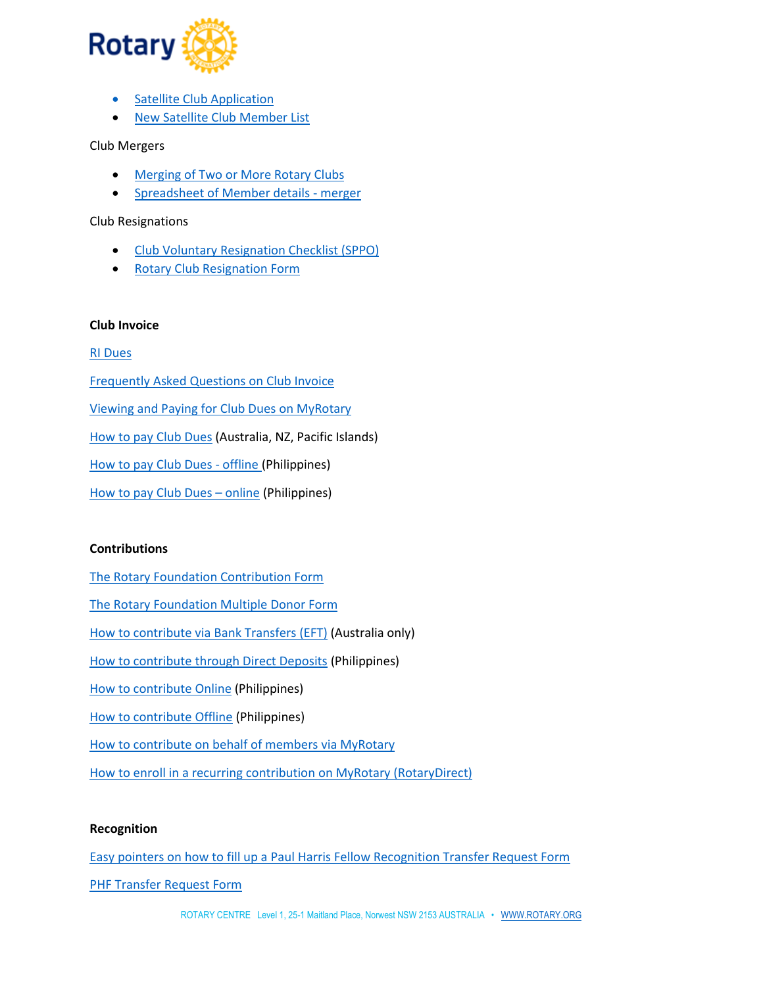

- [Satellite Club Application](https://www.dropbox.com/s/99wxudczd7zvjox/Satellite%20Club%20App%202021.pdf?dl=0)
- [New Satellite Club Member](https://www.dropbox.com/scl/fi/5evuchdetvvai6zbc6pqa/New_satellite_club_member_list_en.xlsx?dl=0&rlkey=4scrdnms5yohrjwxj2cscf8md) List

Club Mergers

- [Merging of Two or More Rotary Clubs](https://www.dropbox.com/scl/fi/exyyc3te8fb3uwsj5klsz/Merging-of-Two-or-More-Rotary-Clubs.doc?dl=0&rlkey=9f3yyfj5jp4eztn0jsise5a7r)
- [Spreadsheet of Member details -](https://www.dropbox.com/scl/fi/cafld1ec6k0shy0tb1yja/Spreadsheet-of-Member-details-merger.xlsx?dl=0&rlkey=piaefddtbmato4b5yon3b8rq0) merger

Club Resignations

- [Club Voluntary Resignation Checklist \(SPPO\)](https://www.dropbox.com/scl/fi/jebnqp4y5oqblz685bgq8/Club-Voluntary-Resignation-Checklist-SPPO-2021-03-29.docx?dl=0&rlkey=483d5ai84rhebr5p9puaomlky)
- [Rotary Club Resignation Form](https://www.dropbox.com/s/tlm1ukv3vdi4try/Rotary%20Club%20Resignation%20Form%20v1.0.pdf?dl=0)

#### **Club Invoice**

## [RI Dues](https://www.dropbox.com/s/xd0fxau8v20crdq/RI%20Dues.pdf?dl=0)

[Frequently Asked Questions on Club Invoice](https://www.dropbox.com/s/etgceox3cda4974/SPPO_CLUB%20INVOICE%20FAQ_.pdf?dl=0) [Viewing and Paying for Club Dues on MyRotary](https://www.dropbox.com/s/1z8lt5cvxx9zq5k/Club%20Invoice%20guideline.pdf?dl=0) [How to pay Club Dues](https://www.dropbox.com/s/h32cvqxk2j4ky30/HOW%20TO%20PAY%20CLUB%20DUES.pdf?dl=0) (Australia, NZ, Pacific Islands) [How to pay Club Dues -](https://www.dropbox.com/s/ut8vf4i8rpbtfon/BPI%20Payment%20Guideline%20-%20Rotary%20International.pdf?dl=0) offline (Philippines) [How to pay Club Dues](https://www.dropbox.com/s/8btcmn7o8r4us6w/BPI%20Online%20-%20Rotary%20International.pdf?dl=0) – online (Philippines)

## **Contributions**

[The Rotary Foundation Contribution Form](https://my.rotary.org/en/document/contribution-form-rotary-foundation)

[The Rotary Foundation Multiple Donor Form](https://my.rotary.org/en/document/multiple-donor-form)

[How to contribute via Bank Transfers](https://www.dropbox.com/s/04ic3yr14kr2nj2/BankTransferInstructions.pdf?dl=0) (EFT) (Australia only)

[How to contribute through Direct Deposits](https://www.dropbox.com/s/5pd8ys2nou73zz6/BPI%20Payment%20Guideline%20The%20Rotary%20Foundation.pdf?dl=0) (Philippines)

[How to contribute Online](https://www.dropbox.com/s/u4bnar47av03nog/BPI%20Online%20-%20The%20Rotary%20Foundation.pdf?dl=0) (Philippines)

[How to contribute Offline](https://www.dropbox.com/s/kcvv3aezpi0wpr8/BPI%20Payment%20Guideline%20The%20Rotary%20Foundation.pdf?dl=0) (Philippines)

[How to contribute on behalf of members via MyRotary](https://www.dropbox.com/s/vtw9htk4w4sgxi9/How%20to%20Donate%20Online%20on%20behalf%20of%20members.pdf?dl=0)

[How to enroll in a recurring contribution on MyRotary \(RotaryDirect\)](https://www.dropbox.com/s/yjk8vl7lqaxz9kk/HOW%20TO%20DONATE%20ONLINE_Recurring%20Contributions.pdf?dl=0)

### **Recognition**

[Easy pointers on how to fill up a Paul Harris Fellow Recognition Transfer Request Form](https://www.dropbox.com/s/yme2y18hf6osmsf/PHF%20How%20to%20Guide%20Template.pdf?dl=0)

[PHF Transfer Request Form](https://www.dropbox.com/s/g0gim18pawluj7k/PAUL%20HARRIS%20FELLOW.PDF?dl=0)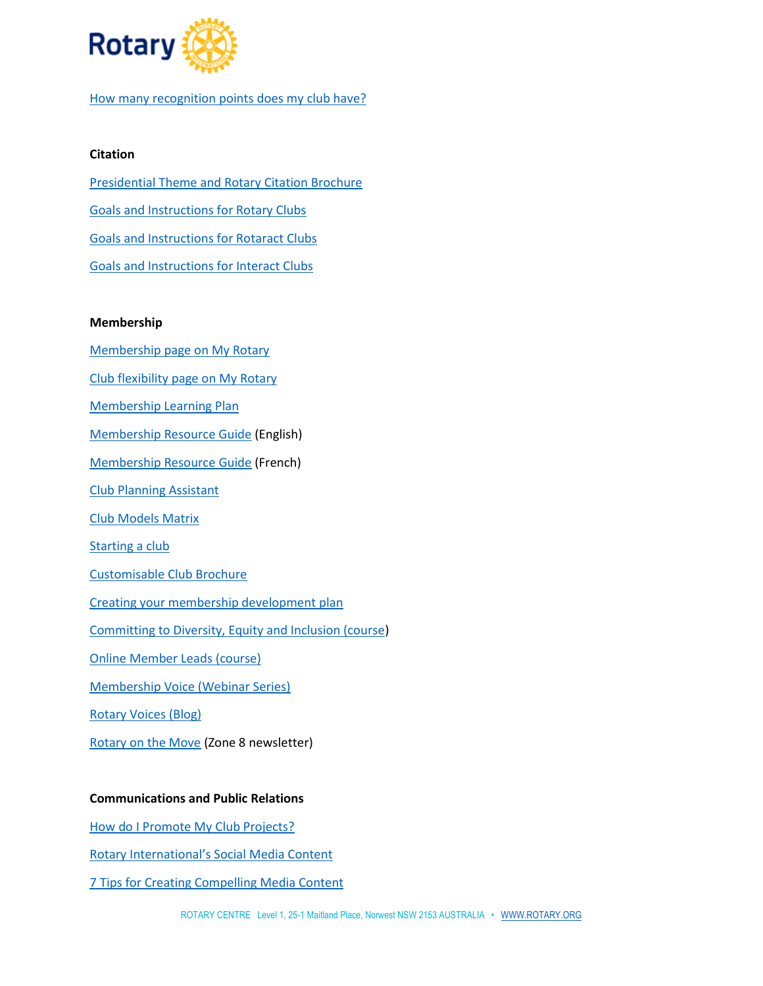

[How many recognition points does my club have?](https://www.dropbox.com/s/oskvcffwhlm40tc/MyRotary_ClubReports.docx?dl=0)

## **Citation**

[Presidential Theme and Rotary Citation Brochure](https://www.rotary.org/en/shekhar-mehta-says-serving-others-changes-lives-including-our-own) [Goals and Instructions for Rotary Clubs](https://www.dropbox.com/s/hzb711g247kj8bp/rotary-citation-goals-instructions-en.pdf?dl=0) [Goals and Instructions for Rotaract Clubs](https://www.dropbox.com/s/clstyu4w7coactq/rotary-citation-goals-instructions-rotaract-clubs-en.pdf?dl=0) [Goals and Instructions for Interact Clubs](https://www.dropbox.com/s/ds3lkxfzmyd36j9/rotary-citation-goals-instructions-interact-clubs-en.pdf?dl=0)

## **Membership**

- [Membership page on My Rotary](https://my.rotary.org/en/learning-reference/learn-topic/membership)
- [Club flexibility page on My Rotary](https://my.rotary.org/en/club-flexibility)
- [Membership Learning Plan](https://learn.rotary.org/members/learn/lp/35/membership)
- [Membership Resource Guide](https://www.dropbox.com/s/a4awmqr504hnpl8/Membership%20Resource%20Guide.pdf?dl=0) (English)
- [Membership Resource Guide](https://www.dropbox.com/s/d4ofqpr2f0jo7j2/Membership%20Resource%20Guide%20-%20French.pdf?dl=0) (French)
- [Club Planning Assistant](https://rotary.qualtrics.com/jfe/form/SV_8798Eo0G60tlbsV)
- [Club Models Matrix](https://www.dropbox.com/s/dhpt8szsz4qvq50/club_types_matrix_en.pdf?dl=0)
- [Starting a club](https://my-cms.rotary.org/en/learning-reference/learn-topic/membership?embed=true#start)
- [Customisable Club Brochure](https://brandcenter.rotary.org/en-GB/App/Approval)
- [Creating your membership development plan](https://www.dropbox.com/s/gaqguyf6gucv92r/417_strengthening_your_membership_en.pdf?dl=0)
- [Committing to Diversity, Equity and Inclusion \(course\)](https://my-cms.rotary.org/en/learn?deep-link=https%3A//learn.rotary.org/members/learn/course/internal/view/elearning/679/committing-to-diversity-equity-and-inclusion)
- [Online Member Leads \(course\)](https://my.rotary.org/learn?deep-link=https%3A//learn.rotary.org/members/learn/course/internal/view/elearning/104/online-membership-leads)
- [Membership Voice \(Webinar Series\)](https://www.facebook.com/RotaryMembershipVoice/)
- [Rotary Voices \(Blog\)](https://blog.rotary.org/)
- [Rotary on the Move](https://rotaryclubofmiltonulladulla.org.au/rotary-on-the-move/) (Zone 8 newsletter)

#### **Communications and Public Relations**

- [How do I Promote My Club Projects?](https://my.rotary.org/en/learning-reference/learn-topic/public-relations)
- [Rotary International's Social Media Content](https://www.rotary.org/en/news-features/social-media)
- [7 Tips for Creating Compelling Media Content](https://blog.rotary.org/2018/10/30/7-tips-for-creating-compelling-social-media-content/)